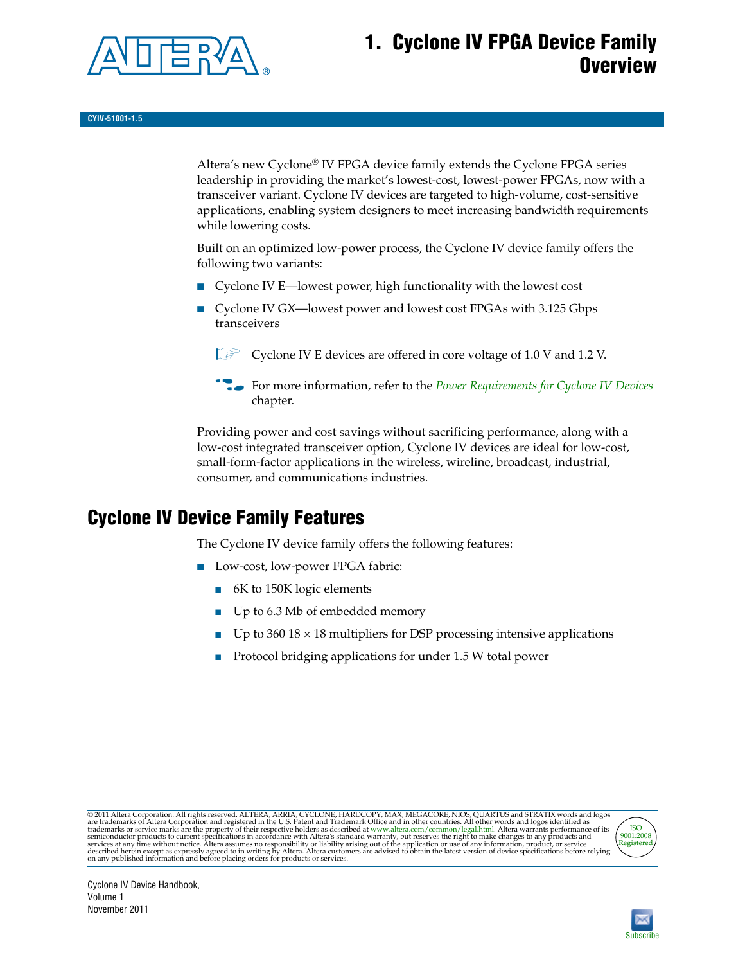

## **1. Cyclone IV FPGA Device Family Overview**

Altera's new Cyclone® IV FPGA device family extends the Cyclone FPGA series leadership in providing the market's lowest-cost, lowest-power FPGAs, now with a transceiver variant. Cyclone IV devices are targeted to high-volume, cost-sensitive applications, enabling system designers to meet increasing bandwidth requirements while lowering costs.

Built on an optimized low-power process, the Cyclone IV device family offers the following two variants:

- Cyclone IV E—lowest power, high functionality with the lowest cost
- Cyclone IV GX—lowest power and lowest cost FPGAs with 3.125 Gbps transceivers

**1 Cyclone IV E devices are offered in core voltage of 1.0 V and 1.2 V.** 

f For more information, refer to the *[Power Requirements for Cyclone IV Devices](http://www.altera.com/literature/hb/cyclone-iv/cyiv-51011.pdf)* chapter.

Providing power and cost savings without sacrificing performance, along with a low-cost integrated transceiver option, Cyclone IV devices are ideal for low-cost, small-form-factor applications in the wireless, wireline, broadcast, industrial, consumer, and communications industries.

## <span id="page-0-0"></span>**Cyclone IV Device Family Features**

The Cyclone IV device family offers the following features:

- Low-cost, low-power FPGA fabric:
	- 6K to 150K logic elements
	- Up to 6.3 Mb of embedded memory
	- Up to  $360\,18 \times 18$  multipliers for DSP processing intensive applications
	- Protocol bridging applications for under 1.5 W total power

@2011 Altera Corporation. All rights reserved. ALTERA, ARRIA, CYCLONE, HARDCOPY, MAX, MEGACORE, NIOS, QUARTUS and STRATIX words and logos are trademarks of Altera Corporation and registered in the U.S. Patent and Trademark



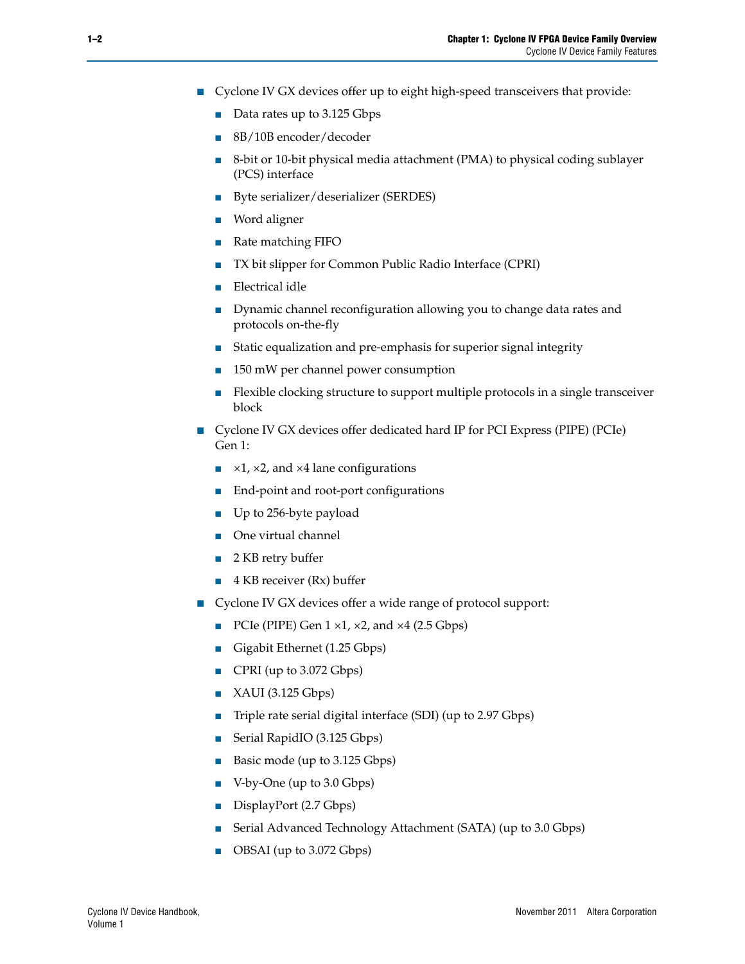- Cyclone IV GX devices offer up to eight high-speed transceivers that provide:
	- Data rates up to 3.125 Gbps
	- 8B/10B encoder/decoder
	- 8-bit or 10-bit physical media attachment (PMA) to physical coding sublayer (PCS) interface
	- Byte serializer/deserializer (SERDES)
	- Word aligner
	- Rate matching FIFO
	- TX bit slipper for Common Public Radio Interface (CPRI)
	- Electrical idle
	- Dynamic channel reconfiguration allowing you to change data rates and protocols on-the-fly
	- Static equalization and pre-emphasis for superior signal integrity
	- 150 mW per channel power consumption
	- Flexible clocking structure to support multiple protocols in a single transceiver block
- Cyclone IV GX devices offer dedicated hard IP for PCI Express (PIPE) (PCIe) Gen 1:
	- $\blacktriangleright$  ×1, ×2, and ×4 lane configurations
	- End-point and root-port configurations
	- Up to 256-byte payload
	- One virtual channel
	- 2 KB retry buffer
	- 4 KB receiver (Rx) buffer
- Cyclone IV GX devices offer a wide range of protocol support:
	- PCIe (PIPE) Gen  $1 \times 1$ ,  $\times 2$ , and  $\times 4$  (2.5 Gbps)
	- Gigabit Ethernet (1.25 Gbps)
	- CPRI (up to 3.072 Gbps)
	- XAUI (3.125 Gbps)
	- Triple rate serial digital interface (SDI) (up to 2.97 Gbps)
	- Serial RapidIO (3.125 Gbps)
	- Basic mode (up to 3.125 Gbps)
	- V-by-One (up to 3.0 Gbps)
	- DisplayPort (2.7 Gbps)
	- Serial Advanced Technology Attachment (SATA) (up to 3.0 Gbps)
	- OBSAI (up to 3.072 Gbps)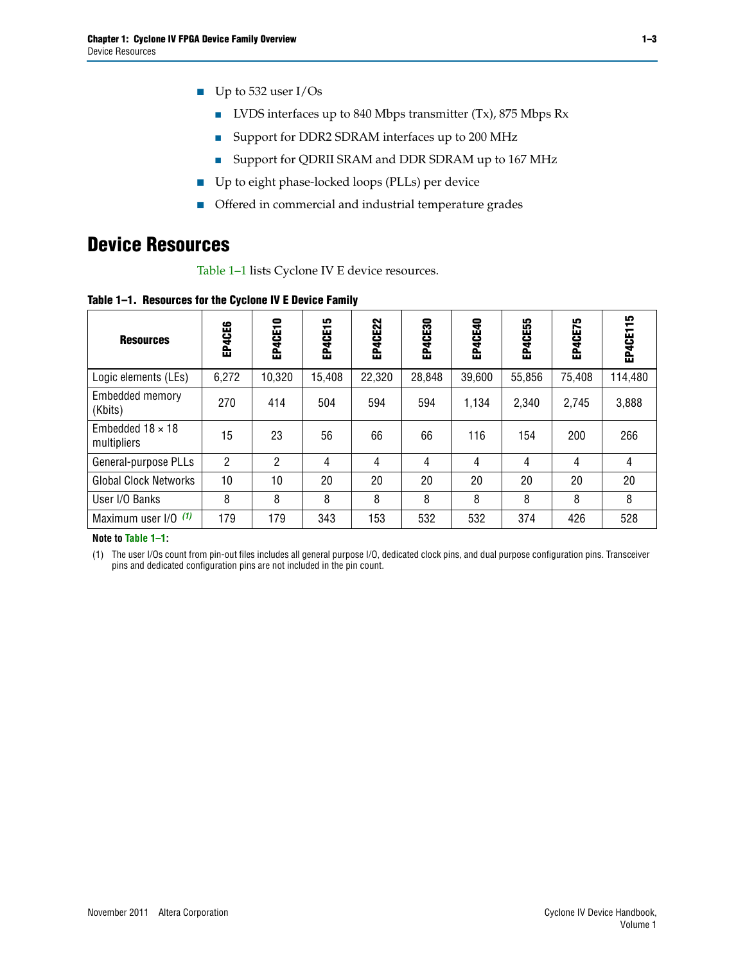- Up to 532 user I/Os
	- LVDS interfaces up to 840 Mbps transmitter (Tx), 875 Mbps Rx
	- Support for DDR2 SDRAM interfaces up to 200 MHz
	- Support for QDRII SRAM and DDR SDRAM up to 167 MHz
- Up to eight phase-locked loops (PLLs) per device
- Offered in commercial and industrial temperature grades

## **Device Resources**

[Table 1–1](#page-2-0) lists Cyclone IV E device resources.

<span id="page-2-0"></span>**Table 1–1. Resources for the Cyclone IV E Device Family**

| <b>Resources</b>                       | EP4CE6 | 0<br>EP4CE1    | LO.<br>EP4CE1! | EP4CE22 | EP4CE30 | EP4CE40 | EP4CE55 | EP4CE75 | 15<br>EP40E1 |
|----------------------------------------|--------|----------------|----------------|---------|---------|---------|---------|---------|--------------|
| Logic elements (LEs)                   | 6,272  | 10,320         | 15,408         | 22,320  | 28,848  | 39,600  | 55,856  | 75,408  | 114,480      |
| Embedded memory<br>(Kbits)             | 270    | 414            | 504            | 594     | 594     | 1,134   | 2,340   | 2,745   | 3,888        |
| Embedded $18 \times 18$<br>multipliers | 15     | 23             | 56             | 66      | 66      | 116     | 154     | 200     | 266          |
| General-purpose PLLs                   | 2      | $\overline{2}$ | 4              | 4       | 4       | 4       | 4       | 4       | 4            |
| <b>Global Clock Networks</b>           | 10     | 10             | 20             | 20      | 20      | 20      | 20      | 20      | 20           |
| User I/O Banks                         | 8      | 8              | 8              | 8       | 8       | 8       | 8       | 8       | 8            |
| Maximum user $I/O$ $(1)$               | 179    | 179            | 343            | 153     | 532     | 532     | 374     | 426     | 528          |

#### **Note to [Table 1–1](#page-2-0):**

<span id="page-2-1"></span>(1) The user I/Os count from pin-out files includes all general purpose I/O, dedicated clock pins, and dual purpose configuration pins. Transceiver pins and dedicated configuration pins are not included in the pin count.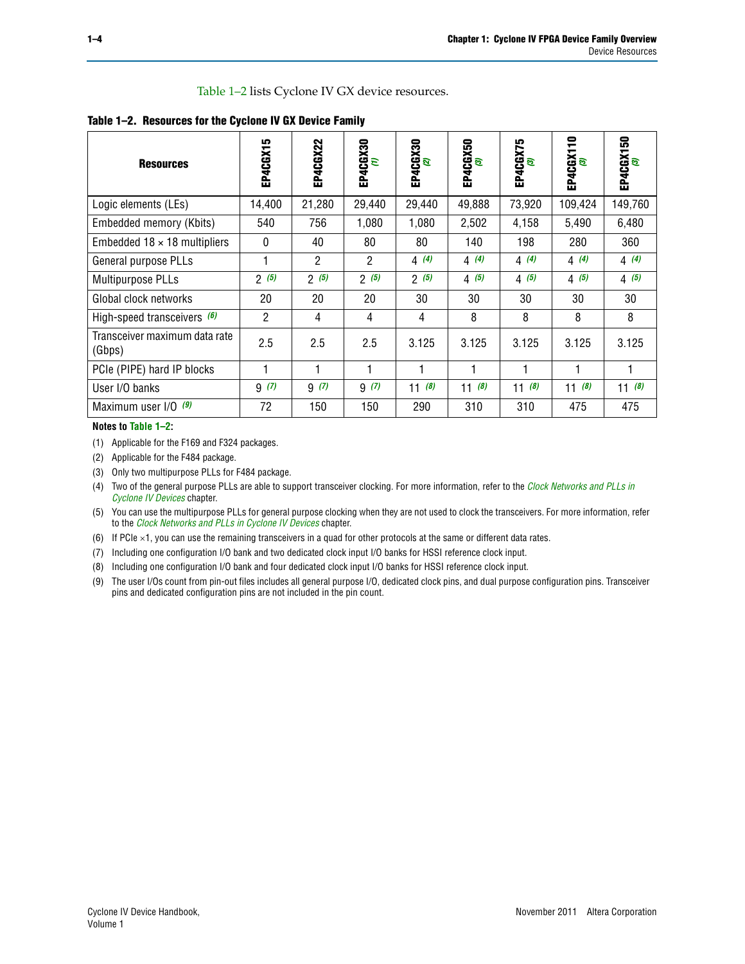[Table 1–2](#page-3-1) lists Cyclone IV GX device resources.

<span id="page-3-1"></span>

|  |  |  |  |  | Table 1-2. Resources for the Cyclone IV GX Device Family |
|--|--|--|--|--|----------------------------------------------------------|
|--|--|--|--|--|----------------------------------------------------------|

| <b>Resources</b>                        | LO.<br>EP4CGX1 | EP4CGX22     | EP4CGX30<br>( <mark>1</mark> ) | EP4CGX30<br>(2) | EP4CGX50<br>(3) | EP4CGX75<br>(3) | EP4CGX110<br><sup>(3)</sup> | EP4CGX150<br><sup>(3)</sup> |
|-----------------------------------------|----------------|--------------|--------------------------------|-----------------|-----------------|-----------------|-----------------------------|-----------------------------|
| Logic elements (LEs)                    | 14,400         | 21,280       | 29,440                         | 29,440          | 49,888          | 73,920          | 109,424                     | 149,760                     |
| Embedded memory (Kbits)                 | 540            | 756          | 1,080                          | 1,080           | 2,502           | 4,158           | 5,490                       | 6,480                       |
| Embedded $18 \times 18$ multipliers     | $\Omega$       | 40           | 80                             | 80              | 140             | 198             | 280                         | 360                         |
| General purpose PLLs                    |                | $\mathbf{2}$ | $\overline{2}$                 | 4(4)            | 4(4)            | 4(4)            | 4(4)                        | 4(4)                        |
| Multipurpose PLLs                       | 2(5)           | 2(5)         | 2(5)                           | 2(5)            | 4(5)            | 4(5)            | 4(5)                        | 4(5)                        |
| Global clock networks                   | 20             | 20           | 20                             | 30              | 30              | 30              | 30                          | 30                          |
| High-speed transceivers $(6)$           | $\overline{2}$ | 4            | 4                              | 4               | 8               | 8               | 8                           | 8                           |
| Transceiver maximum data rate<br>(Gbps) | 2.5            | 2.5          | 2.5                            | 3.125           | 3.125           | 3.125           | 3.125                       | 3.125                       |
| PCIe (PIPE) hard IP blocks              |                | 1            | 1                              | 1               | 1               |                 | 1                           |                             |
| User I/O banks                          | 9(7)           | 9(7)         | 9(7)                           | 11(8)           | 11(8)           | (8)<br>11       | 11(8)                       | (8)<br>11                   |
| Maximum user I/O (9)                    | 72             | 150          | 150                            | 290             | 310             | 310             | 475                         | 475                         |

**Notes to [Table 1–2](#page-3-1):**

<span id="page-3-7"></span>(1) Applicable for the F169 and F324 packages.

<span id="page-3-8"></span>(2) Applicable for the F484 package.

<span id="page-3-6"></span>(3) Only two multipurpose PLLs for F484 package.

<span id="page-3-0"></span>(4) Two of the general purpose PLLs are able to support transceiver clocking. For more information, refer to the *[Clock Networks and PLLs in](http://www.altera.com/literature/hb/cyclone-iv/cyiv-51005.pdf)  [Cyclone IV Devices](http://www.altera.com/literature/hb/cyclone-iv/cyiv-51005.pdf)* chapter.

<span id="page-3-2"></span>(5) You can use the multipurpose PLLs for general purpose clocking when they are not used to clock the transceivers. For more information, refer to the *[Clock Networks and PLLs in Cyclone IV Devices](http://www.altera.com/literature/hb/cyclone-iv/cyiv-51005.pdf)* chapter.

<span id="page-3-3"></span>(6) If PCIe  $\times$ 1, you can use the remaining transceivers in a quad for other protocols at the same or different data rates.

<span id="page-3-4"></span>(7) Including one configuration I/O bank and two dedicated clock input I/O banks for HSSI reference clock input.

<span id="page-3-5"></span>(8) Including one configuration I/O bank and four dedicated clock input I/O banks for HSSI reference clock input.

<span id="page-3-9"></span>(9) The user I/Os count from pin-out files includes all general purpose I/O, dedicated clock pins, and dual purpose configuration pins. Transceiver pins and dedicated configuration pins are not included in the pin count.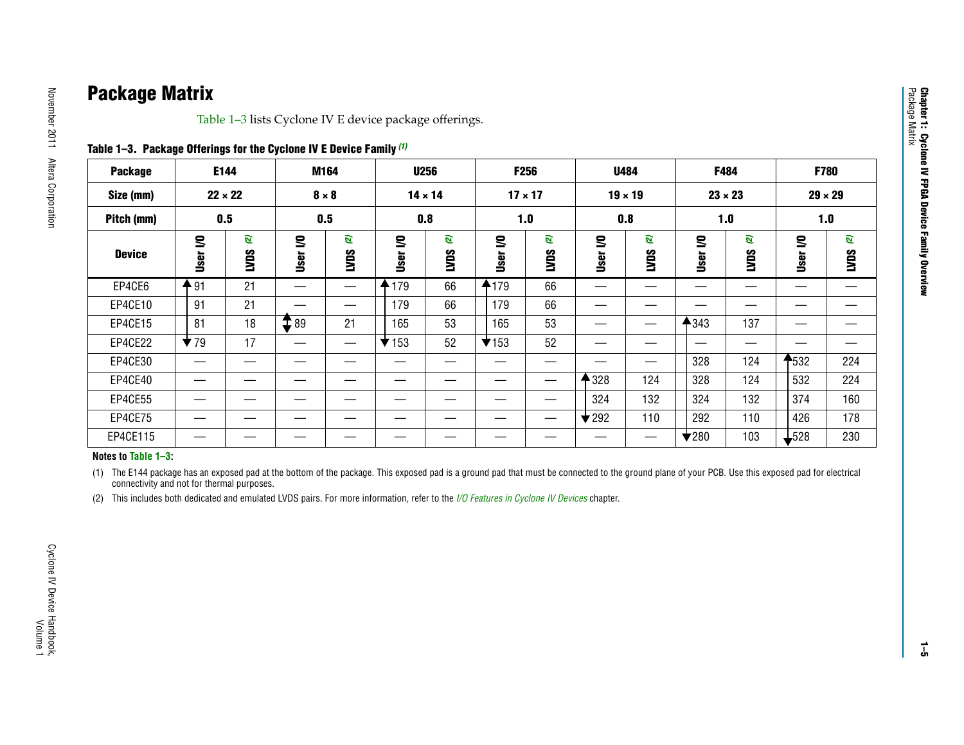# **Package Matrix**

[Table](#page-4-2) 1–3 lists Cyclone IV E device package offerings.

<span id="page-4-2"></span>

| Table 1-3. Package Offerings for the Cyclone IV E Device Family (1) |  |  |  |  |
|---------------------------------------------------------------------|--|--|--|--|
|---------------------------------------------------------------------|--|--|--|--|

| <b>Package</b> |                         | E144             |                 | M164             | <b>U256</b>              |                  |                | F256             | <b>U484</b>              |                  | F484                     |                  |              | F780           |
|----------------|-------------------------|------------------|-----------------|------------------|--------------------------|------------------|----------------|------------------|--------------------------|------------------|--------------------------|------------------|--------------|----------------|
| Size (mm)      |                         | $22 \times 22$   |                 | $8 \times 8$     | $14 \times 14$           |                  | $17 \times 17$ |                  |                          | $19 \times 19$   | $23 \times 23$           |                  |              | $29 \times 29$ |
| Pitch (mm)     |                         | 0.5              |                 | 0.5              | 0.8                      |                  |                | 1.0              |                          | 0.8              |                          | 1.0              |              | 1.0            |
| <b>Device</b>  | S<br>User               | ø<br><b>SUVI</b> | S<br>User       | ø<br><b>LVDS</b> | S<br>User                | ø<br><b>SUVI</b> | S<br>User      | ø<br><b>SONT</b> | S<br>User                | ø<br><b>SUVI</b> | S<br>User                | ø<br><b>CANT</b> | S<br>User    | ø<br>SONT      |
| EP4CE6         | 491                     | 21               |                 |                  | 179                      | 66               | 4179           | 66               |                          | __               |                          | _                | —            |                |
| EP4CE10        | 91                      | 21               |                 |                  | 179                      | 66               | 179            | 66               | __                       |                  |                          |                  | __           |                |
| EP4CE15        | 81                      | 18               | $\mathbf{T}$ 89 | 21               | 165                      | 53               | 165            | 53               | –                        | —                | 4343                     | 137              | —            |                |
| EP4CE22        | $\blacktriangledown$ 79 | 17               |                 |                  | $\blacktriangledown$ 153 | 52               | $\times$ 153   | 52               |                          |                  |                          |                  |              |                |
| EP4CE30        | —                       | __               |                 |                  |                          | __               |                | —                | __                       | —                | 328                      | 124              | <b>1</b> 532 | 224            |
| EP4CE40        | __                      |                  |                 |                  |                          |                  |                |                  | 328                      | 124              | 328                      | 124              | 532          | 224            |
| EP4CE55        |                         |                  |                 |                  |                          |                  |                |                  | 324                      | 132              | 324                      | 132              | 374          | 160            |
| EP4CE75        | __                      |                  | --              | __               | __                       |                  |                | —                | $\blacktriangledown$ 292 | 110              | 292                      | 110              | 426          | 178            |
| EP4CE115       |                         |                  |                 |                  |                          |                  |                | __               |                          | __               | $\blacktriangledown$ 280 | 103              | $-528$       | 230            |

#### **Notes to [Table](#page-4-2) 1–3:**

<span id="page-4-0"></span>(1) The E144 package has an exposed pad at the bottom of the package. This exposed pad is a ground pad that must be connected to the ground plane of your PCB. Use this exposed pad for electrical connectivity and not for thermal purposes.

<span id="page-4-1"></span>(2) This includes both dedicated and emulated LVDS pairs. For more information, refer to the *[I/O Features in Cyclone](http://www.altera.com/literature/hb/cyclone-iv/cyiv-51006.pdf) IV Devices* chapter.

**Chapter 1: Cyclone IV FPGA Device Family Overview**

**Chapter 1: Cyclone IV FPGA Device Family Overview**<br>Package Matrix

Package Matrix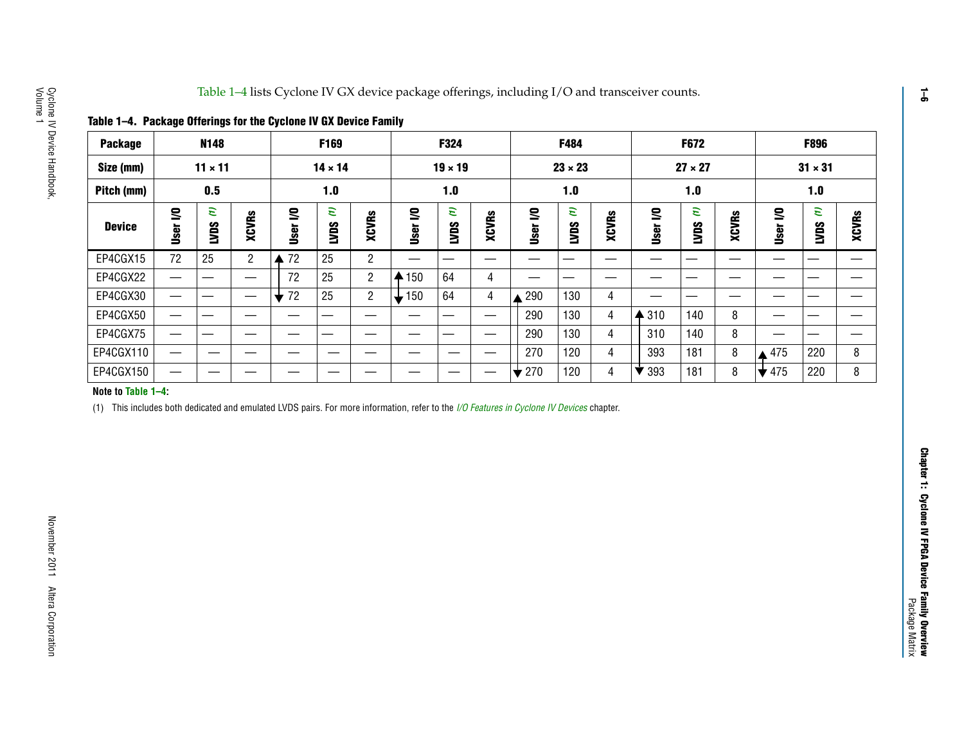<span id="page-5-0"></span>

|  |  | Table 1–4. Package Offerings for the Cyclone IV GX Device Family |
|--|--|------------------------------------------------------------------|
|--|--|------------------------------------------------------------------|

| Table 1-4. Package Offerings for the Cyclone IV GX Device Family |                  |                |                |                     |                  |             |           |                |       |                |                |       |                 |                |       |                           |                  |       |
|------------------------------------------------------------------|------------------|----------------|----------------|---------------------|------------------|-------------|-----------|----------------|-------|----------------|----------------|-------|-----------------|----------------|-------|---------------------------|------------------|-------|
| <b>Package</b>                                                   |                  | <b>N148</b>    |                |                     | F169             |             |           | F324           |       |                | F484           |       |                 | <b>F672</b>    |       |                           | F896             |       |
| Size (mm)                                                        |                  | $11 \times 11$ |                |                     | $14 \times 14$   |             |           | $19 \times 19$ |       |                | $23 \times 23$ |       |                 | $27 \times 27$ |       |                           | $31 \times 31$   |       |
| Pitch (mm)                                                       |                  | 0.5            |                |                     | 1.0              |             |           | 1.0            |       |                | 1.0            |       |                 | 1.0            |       |                           | 1.0              |       |
| <b>Device</b>                                                    | g<br><u>User</u> | E)<br>Sant     | XCVRs          | ≅<br>User           | E<br><b>CANT</b> | XCVRs       | g<br>User | ε<br>SONT      | XCVRs | ≅<br>User      | E<br>LVDS      | XCVRs | ≅<br>User       | E<br>LVDS      | XCVRs | User I/O                  | E<br><b>LVDS</b> | XCVRs |
| EP4CGX15                                                         | 72               | 25             | $\overline{2}$ | $\blacktriangle$ 72 | 25               | $2^{\circ}$ |           |                | —     |                |                |       |                 |                |       |                           |                  |       |
| EP4CGX22                                                         |                  |                |                | 72                  | 25               | $2^{\circ}$ | 150<br>₳  | 64             | 4     |                |                |       |                 |                |       |                           |                  |       |
| EP4CGX30                                                         |                  | —              | —              | $\div$ 72           | 25               | $2^{\circ}$ | 150       | 64             | 4     | 290            | 130            | 4     |                 | __             | –     |                           |                  |       |
| EP4CGX50                                                         |                  |                |                |                     |                  |             |           |                | —     | 290            | 130            | 4     | $\triangle$ 310 | 140            | 8     |                           |                  |       |
| EP4CGX75                                                         |                  |                |                |                     |                  |             |           |                | —     | 290            | 130            | 4     | 310             | 140            | 8     |                           |                  |       |
| EP4CGX110                                                        |                  | —              |                |                     |                  | —           |           | __             | —     | 270            | 120            | 4     | 393             | 181            | 8     | 475                       | 220              | 8     |
| EP4CGX150                                                        |                  |                |                |                     |                  |             |           |                |       | $\bigstar$ 270 | 120            | 4     | 393             | 181            | 8     | $\blacktriangleright$ 475 | 220              | 8     |

#### **Note to [Table](#page-5-0) 1–4:**

<span id="page-5-1"></span>(1) This includes both dedicated and emulated LVDS pairs. For more information, refer to the *[I/O Features in Cyclone](http://www.altera.com/literature/hb/cyclone-iv/cyiv-51006.pdf) IV Devices* chapter.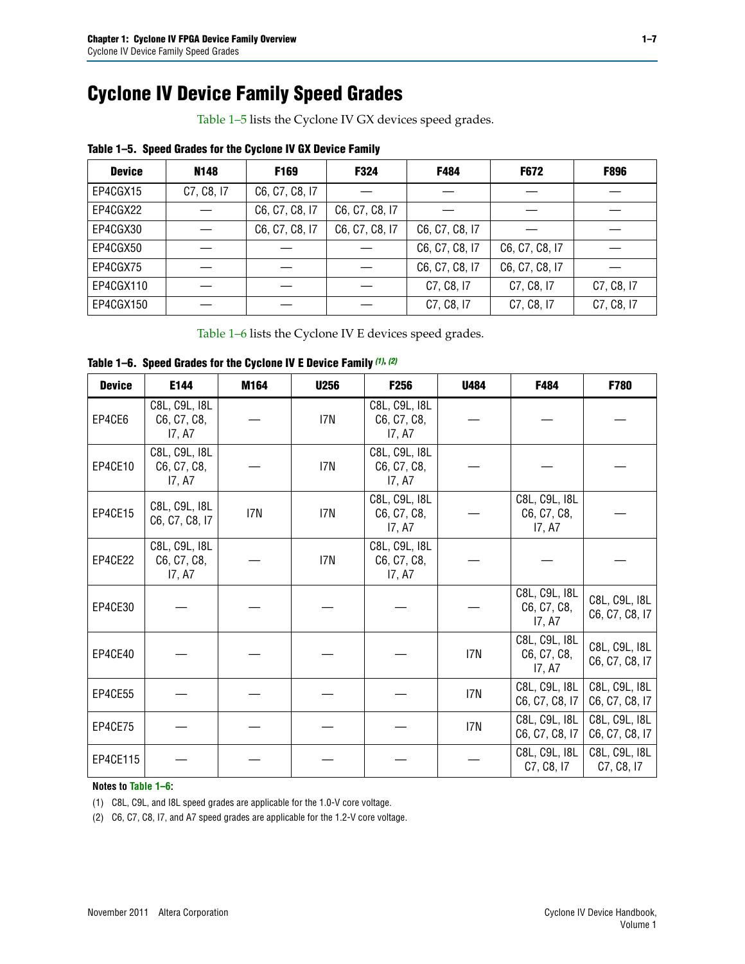# **Cyclone IV Device Family Speed Grades**

[Table 1–5](#page-6-0) lists the Cyclone IV GX devices speed grades.

| <b>Device</b> | N148       | F169           | F324           | F484           | <b>F672</b>    | <b>F896</b> |
|---------------|------------|----------------|----------------|----------------|----------------|-------------|
| EP4CGX15      | C7, C8, I7 | C6, C7, C8, I7 |                |                |                |             |
| EP4CGX22      |            | C6, C7, C8, I7 | C6, C7, C8, I7 |                |                |             |
| EP4CGX30      |            | C6, C7, C8, I7 | C6, C7, C8, I7 | C6, C7, C8, I7 |                |             |
| EP4CGX50      |            |                |                | C6, C7, C8, I7 | C6, C7, C8, I7 |             |
| EP4CGX75      |            |                |                | C6, C7, C8, I7 | C6, C7, C8, I7 |             |
| EP4CGX110     |            |                |                | C7, C8, I7     | C7, C8, I7     | C7, C8, I7  |
| EP4CGX150     |            |                |                | C7, C8, I7     | C7, C8, I7     | C7, C8, I7  |

#### <span id="page-6-0"></span>**Table 1–5. Speed Grades for the Cyclone IV GX Device Family**

[Table 1–6](#page-6-1) lists the Cyclone IV E devices speed grades.

| <b>Device</b> | E144                                   | M164 | <b>U256</b> | F256                                   | <b>U484</b> | F484                                   | F780                            |
|---------------|----------------------------------------|------|-------------|----------------------------------------|-------------|----------------------------------------|---------------------------------|
| EP4CE6        | C8L, C9L, I8L<br>C6, C7, C8,<br>17, A7 |      | I7N         | C8L, C9L, I8L<br>C6, C7, C8,<br>17, A7 |             |                                        |                                 |
| EP4CE10       | C8L, C9L, I8L<br>C6, C7, C8,<br>17, A7 |      | I7N         | C8L, C9L, I8L<br>C6, C7, C8,<br>17, A7 |             |                                        |                                 |
| EP4CE15       | C8L, C9L, I8L<br>C6, C7, C8, I7        | I7N  | I7N         | C8L, C9L, I8L<br>C6, C7, C8,<br>17, A7 |             | C8L, C9L, I8L<br>C6, C7, C8,<br>17, A7 |                                 |
| EP4CE22       | C8L, C9L, I8L<br>C6, C7, C8,<br>17, A7 |      | I7N         | C8L, C9L, I8L<br>C6, C7, C8,<br>17, A7 |             |                                        |                                 |
| EP4CE30       |                                        |      |             |                                        |             | C8L, C9L, I8L<br>C6, C7, C8,<br>17, A7 | C8L, C9L, I8L<br>C6, C7, C8, I7 |
| EP4CE40       |                                        |      |             |                                        | I7N         | C8L, C9L, I8L<br>C6, C7, C8,<br>17, A7 | C8L, C9L, I8L<br>C6, C7, C8, I7 |
| EP4CE55       |                                        |      |             |                                        | I7N         | C8L, C9L, I8L<br>C6, C7, C8, I7        | C8L, C9L, I8L<br>C6, C7, C8, I7 |
| EP4CE75       |                                        |      |             |                                        | I7N         | C8L, C9L, I8L<br>C6, C7, C8, I7        | C8L, C9L, I8L<br>C6, C7, C8, I7 |
| EP4CE115      |                                        |      |             |                                        |             | C8L, C9L, I8L<br>C7, C8, I7            | C8L, C9L, I8L<br>C7, C8, I7     |

#### <span id="page-6-1"></span>**Table 1–6. Speed Grades for the Cyclone IV E Device Family** *[\(1\)](#page-6-2)***,** *[\(2\)](#page-6-3)*

**Notes to [Table 1–6](#page-6-1):**

<span id="page-6-2"></span>(1) C8L, C9L, and I8L speed grades are applicable for the 1.0-V core voltage.

<span id="page-6-3"></span>(2) C6, C7, C8, I7, and A7 speed grades are applicable for the 1.2-V core voltage.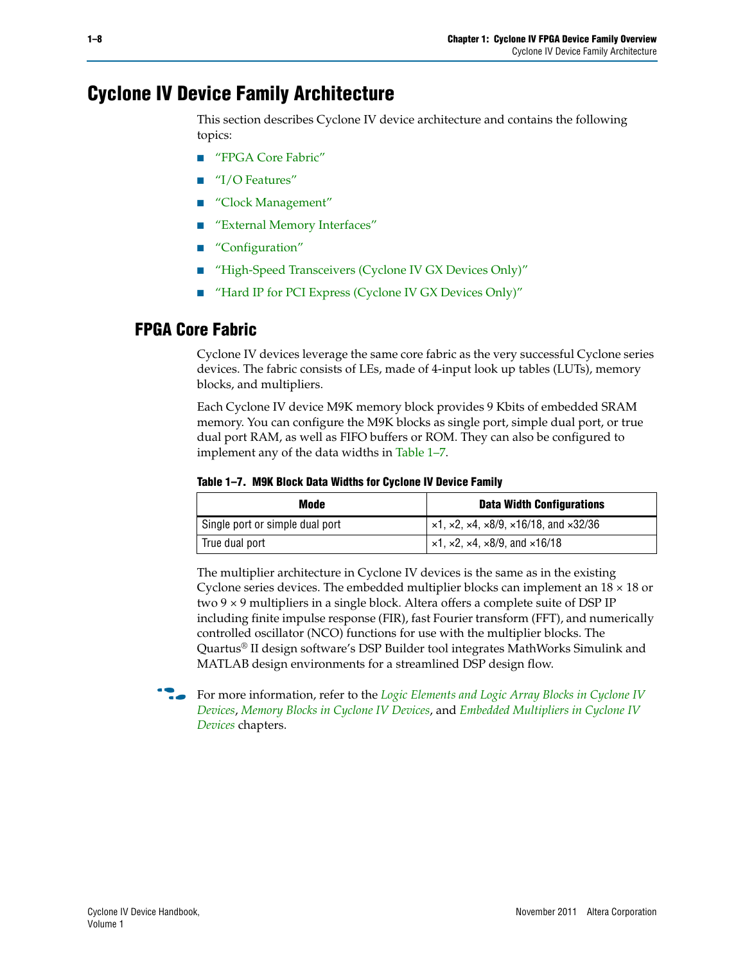## **Cyclone IV Device Family Architecture**

This section describes Cyclone IV device architecture and contains the following topics:

- ["FPGA Core Fabric"](#page-7-0)
- ["I/O Features"](#page-8-0)
- ["Clock Management"](#page-8-1)
- ["External Memory Interfaces"](#page-8-2)
- ["Configuration"](#page-9-1)
- ["High-Speed Transceivers \(Cyclone IV GX Devices Only\)"](#page-9-0)
- ["Hard IP for PCI Express \(Cyclone IV GX Devices Only\)"](#page-10-0)

### <span id="page-7-0"></span>**FPGA Core Fabric**

Cyclone IV devices leverage the same core fabric as the very successful Cyclone series devices. The fabric consists of LEs, made of 4-input look up tables (LUTs), memory blocks, and multipliers.

Each Cyclone IV device M9K memory block provides 9 Kbits of embedded SRAM memory. You can configure the M9K blocks as single port, simple dual port, or true dual port RAM, as well as FIFO buffers or ROM. They can also be configured to implement any of the data widths in [Table 1–7](#page-7-1).

#### <span id="page-7-1"></span>**Table 1–7. M9K Block Data Widths for Cyclone IV Device Family**

| Mode                            | <b>Data Width Configurations</b>                                            |
|---------------------------------|-----------------------------------------------------------------------------|
| Single port or simple dual port | $\vert$ ×1, ×2, ×4, ×8/9, ×16/18, and ×32/36                                |
| True dual port                  | $\vert \times 1, \times 2, \times 4, \times 8/9, \text{ and } \times 16/18$ |

The multiplier architecture in Cyclone IV devices is the same as in the existing Cyclone series devices. The embedded multiplier blocks can implement an  $18 \times 18$  or two 9 × 9 multipliers in a single block. Altera offers a complete suite of DSP IP including finite impulse response (FIR), fast Fourier transform (FFT), and numerically controlled oscillator (NCO) functions for use with the multiplier blocks. The Quartus® II design software's DSP Builder tool integrates MathWorks Simulink and MATLAB design environments for a streamlined DSP design flow.



f For more information, refer to the *[Logic Elements and Logic Array Blocks in Cyclone IV](http://www.altera.com/literature/hb/cyclone-iv/cyiv-51002.pdf)  [Devices](http://www.altera.com/literature/hb/cyclone-iv/cyiv-51002.pdf)*, *[Memory Blocks in Cyclone IV Devices](http://www.altera.com/literature/hb/cyclone-iv/cyiv-51003.pdf)*, and *[Embedded Multipliers in Cyclone IV](http://www.altera.com/literature/hb/cyclone-iv/cyiv-51004.pdf)  [Devices](http://www.altera.com/literature/hb/cyclone-iv/cyiv-51004.pdf)* chapters.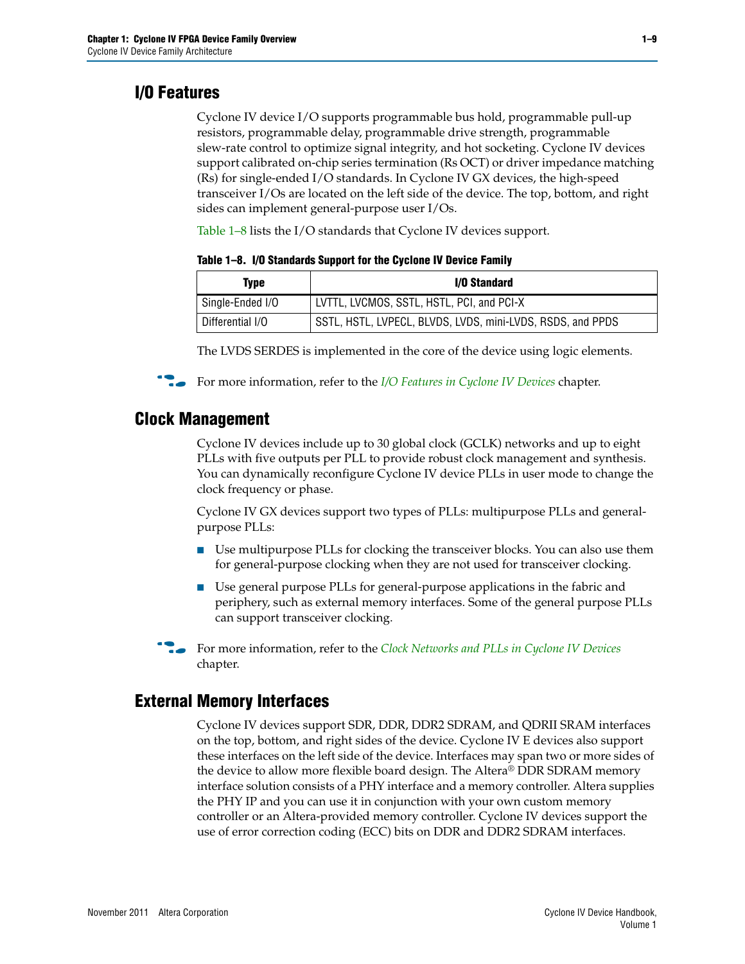## <span id="page-8-0"></span>**I/O Features**

Cyclone IV device I/O supports programmable bus hold, programmable pull-up resistors, programmable delay, programmable drive strength, programmable slew-rate control to optimize signal integrity, and hot socketing. Cyclone IV devices support calibrated on-chip series termination (Rs OCT) or driver impedance matching (Rs) for single-ended I/O standards. In Cyclone IV GX devices, the high-speed transceiver I/Os are located on the left side of the device. The top, bottom, and right sides can implement general-purpose user I/Os.

[Table 1–8](#page-8-3) lists the I/O standards that Cyclone IV devices support.

| Type             | I/O Standard                                               |
|------------------|------------------------------------------------------------|
| Single-Ended I/O | LVTTL, LVCMOS, SSTL, HSTL, PCI, and PCI-X                  |
| Differential I/O | SSTL, HSTL, LVPECL, BLVDS, LVDS, mini-LVDS, RSDS, and PPDS |

<span id="page-8-3"></span>**Table 1–8. I/O Standards Support for the Cyclone IV Device Family**

The LVDS SERDES is implemented in the core of the device using logic elements.

For more information, refer to the *[I/O Features in Cyclone IV Devices](http://www.altera.com/literature/hb/cyclone-iv/cyiv-51006.pdf)* chapter.

### <span id="page-8-1"></span>**Clock Management**

Cyclone IV devices include up to 30 global clock (GCLK) networks and up to eight PLLs with five outputs per PLL to provide robust clock management and synthesis. You can dynamically reconfigure Cyclone IV device PLLs in user mode to change the clock frequency or phase.

Cyclone IV GX devices support two types of PLLs: multipurpose PLLs and generalpurpose PLLs:

- Use multipurpose PLLs for clocking the transceiver blocks. You can also use them for general-purpose clocking when they are not used for transceiver clocking.
- Use general purpose PLLs for general-purpose applications in the fabric and periphery, such as external memory interfaces. Some of the general purpose PLLs can support transceiver clocking.

f For more information, refer to the *[Clock Networks and PLLs in Cyclone IV Devices](http://www.altera.com/literature/hb/cyclone-iv/cyiv-51005.pdf)* chapter.

### <span id="page-8-2"></span>**External Memory Interfaces**

Cyclone IV devices support SDR, DDR, DDR2 SDRAM, and QDRII SRAM interfaces on the top, bottom, and right sides of the device. Cyclone IV E devices also support these interfaces on the left side of the device. Interfaces may span two or more sides of the device to allow more flexible board design. The Altera® DDR SDRAM memory interface solution consists of a PHY interface and a memory controller. Altera supplies the PHY IP and you can use it in conjunction with your own custom memory controller or an Altera-provided memory controller. Cyclone IV devices support the use of error correction coding (ECC) bits on DDR and DDR2 SDRAM interfaces.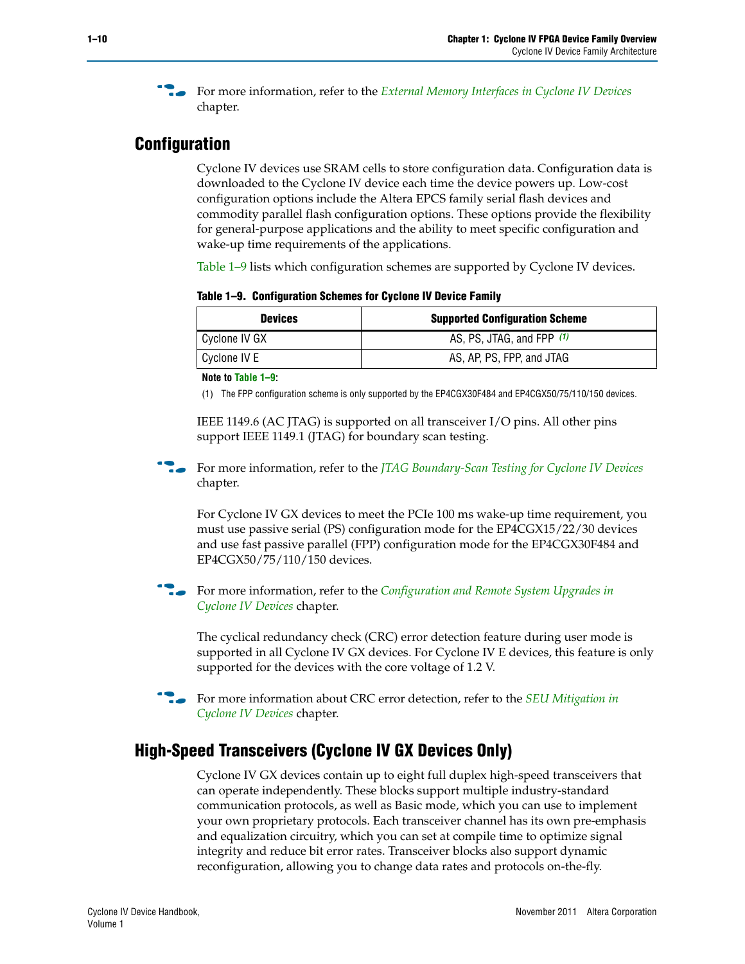f For more information, refer to the *[External Memory Interfaces in Cyclone IV Devices](http://www.altera.com/literature/hb/cyclone-iv/cyiv-51007.pdf)* chapter.

### <span id="page-9-1"></span>**Configuration**

Cyclone IV devices use SRAM cells to store configuration data. Configuration data is downloaded to the Cyclone IV device each time the device powers up. Low-cost configuration options include the Altera EPCS family serial flash devices and commodity parallel flash configuration options. These options provide the flexibility for general-purpose applications and the ability to meet specific configuration and wake-up time requirements of the applications.

[Table 1–9](#page-9-2) lists which configuration schemes are supported by Cyclone IV devices.

<span id="page-9-2"></span>**Table 1–9. Configuration Schemes for Cyclone IV Device Family**

| <b>Devices</b> | <b>Supported Configuration Scheme</b> |
|----------------|---------------------------------------|
| Cyclone IV GX  | AS, PS, JTAG, and FPP $(1)$           |
| Cyclone IV E   | AS, AP, PS, FPP, and JTAG             |

**Note to [Table 1–9](#page-9-2):**

<span id="page-9-3"></span>(1) The FPP configuration scheme is only supported by the EP4CGX30F484 and EP4CGX50/75/110/150 devices.

IEEE 1149.6 (AC JTAG) is supported on all transceiver I/O pins. All other pins support IEEE 1149.1 (JTAG) for boundary scan testing.

**For more information, refer to the** *[JTAG Boundary-Scan Testing for Cyclone IV Devices](http://www.altera.com/literature/hb/cyclone-iv/cyiv-51010.pdf)* chapter.

For Cyclone IV GX devices to meet the PCIe 100 ms wake-up time requirement, you must use passive serial (PS) configuration mode for the EP4CGX15/22/30 devices and use fast passive parallel (FPP) configuration mode for the EP4CGX30F484 and EP4CGX50/75/110/150 devices.

**For more information, refer to the** *Configuration and Remote System Upgrades in [Cyclone IV Devices](http://www.altera.com/literature/hb/cyclone-iv/cyiv-51008.pdf)* chapter.

The cyclical redundancy check (CRC) error detection feature during user mode is supported in all Cyclone IV GX devices. For Cyclone IV E devices, this feature is only supported for the devices with the core voltage of 1.2 V.

f For more information about CRC error detection, refer to the *[SEU Mitigation in](http://www.altera.com/literature/hb/cyclone-iv/cyiv-51009.pdf)  [Cyclone IV Devices](http://www.altera.com/literature/hb/cyclone-iv/cyiv-51009.pdf)* chapter.

### <span id="page-9-0"></span>**High-Speed Transceivers (Cyclone IV GX Devices Only)**

Cyclone IV GX devices contain up to eight full duplex high-speed transceivers that can operate independently. These blocks support multiple industry-standard communication protocols, as well as Basic mode, which you can use to implement your own proprietary protocols. Each transceiver channel has its own pre-emphasis and equalization circuitry, which you can set at compile time to optimize signal integrity and reduce bit error rates. Transceiver blocks also support dynamic reconfiguration, allowing you to change data rates and protocols on-the-fly.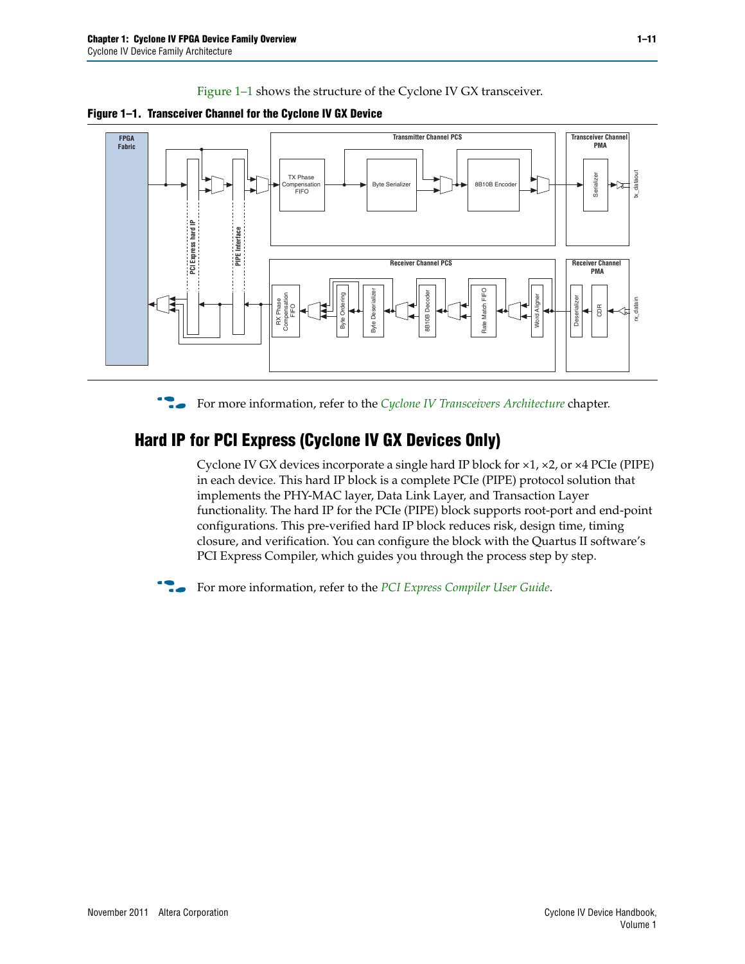[Figure 1–1](#page-10-1) shows the structure of the Cyclone IV GX transceiver.

<span id="page-10-1"></span>



For more information, refer to the *[Cyclone IV Transceivers Architecture](http://www.altera.com/literature/hb/cyclone-iv/cyiv-52001.pdf)* chapter.

## <span id="page-10-0"></span>**Hard IP for PCI Express (Cyclone IV GX Devices Only)**

Cyclone IV GX devices incorporate a single hard IP block for  $\times$ 1,  $\times$ 2, or  $\times$ 4 PCIe (PIPE) in each device. This hard IP block is a complete PCIe (PIPE) protocol solution that implements the PHY-MAC layer, Data Link Layer, and Transaction Layer functionality. The hard IP for the PCIe (PIPE) block supports root-port and end-point configurations. This pre-verified hard IP block reduces risk, design time, timing closure, and verification. You can configure the block with the Quartus II software's PCI Express Compiler, which guides you through the process step by step.

**For more information, refer to the** *[PCI Express Compiler User Guide](http://www.altera.com/literature/ug/ug_pci_express.pdf)***.**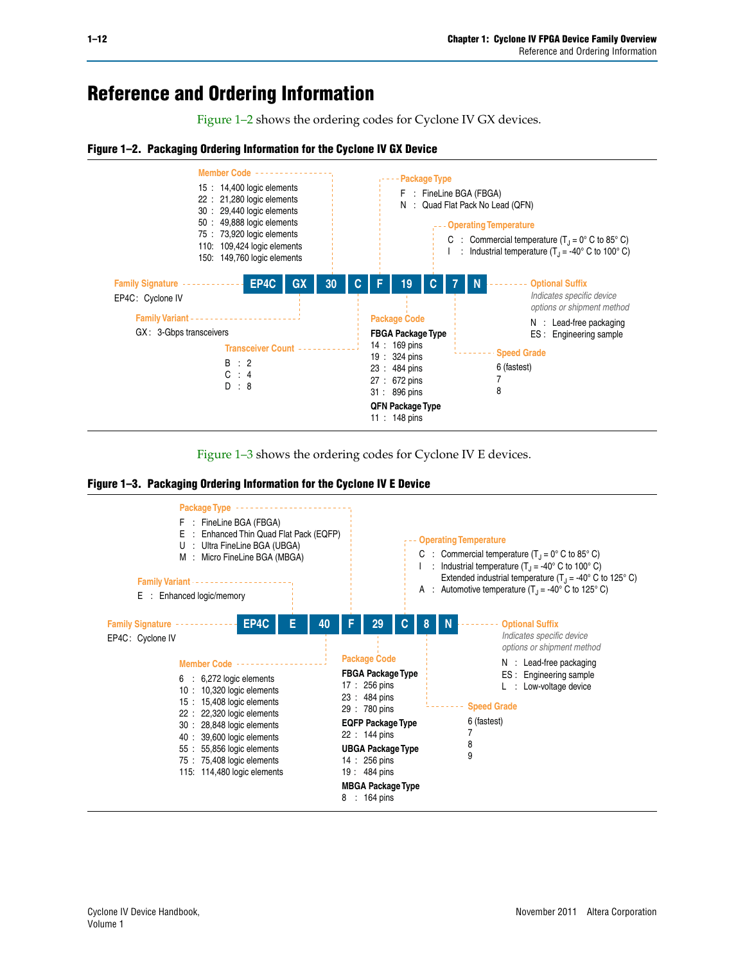## **Reference and Ordering Information**

[Figure 1–2](#page-11-1) shows the ordering codes for Cyclone IV GX devices.

#### <span id="page-11-1"></span>**Figure 1–2. Packaging Ordering Information for the Cyclone IV GX Device**





<span id="page-11-0"></span>